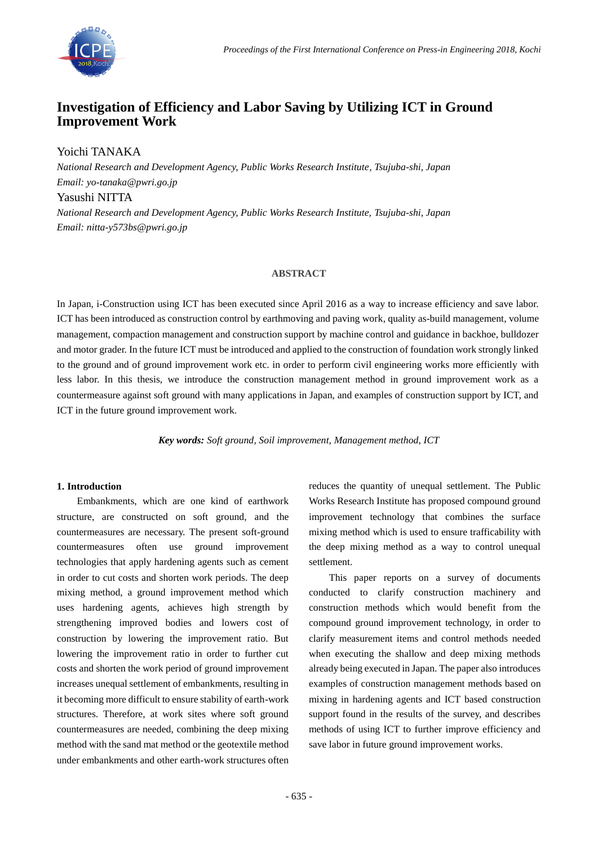

# **Investigation of Efficiency and Labor Saving by Utilizing ICT in Ground Improvement Work**

Yoichi TANAKA

*National Research and Development Agency, Public Works Research Institute, Tsujuba-shi, Japan Email: yo-tanaka@pwri.go.jp* Yasushi NITTA

*National Research and Development Agency, Public Works Research Institute, Tsujuba-shi, Japan Email: nitta-y573bs@pwri.go.jp*

# **ABSTRACT**

In Japan, i-Construction using ICT has been executed since April 2016 as a way to increase efficiency and save labor. ICT has been introduced as construction control by earthmoving and paving work, quality as-build management, volume management, compaction management and construction support by machine control and guidance in backhoe, bulldozer and motor grader. In the future ICT must be introduced and applied to the construction of foundation work strongly linked to the ground and of ground improvement work etc. in order to perform civil engineering works more efficiently with less labor. In this thesis, we introduce the construction management method in ground improvement work as a countermeasure against soft ground with many applications in Japan, and examples of construction support by ICT, and ICT in the future ground improvement work.

*Key words: Soft ground, Soil improvement, Management method, ICT*

## **1. Introduction**

Embankments, which are one kind of earthwork structure, are constructed on soft ground, and the countermeasures are necessary. The present soft-ground countermeasures often use ground improvement technologies that apply hardening agents such as cement in order to cut costs and shorten work periods. The deep mixing method, a ground improvement method which uses hardening agents, achieves high strength by strengthening improved bodies and lowers cost of construction by lowering the improvement ratio. But lowering the improvement ratio in order to further cut costs and shorten the work period of ground improvement increases unequal settlement of embankments, resulting in it becoming more difficult to ensure stability of earth-work structures. Therefore, at work sites where soft ground countermeasures are needed, combining the deep mixing method with the sand mat method or the geotextile method under embankments and other earth-work structures often

reduces the quantity of unequal settlement. The Public Works Research Institute has proposed compound ground improvement technology that combines the surface mixing method which is used to ensure trafficability with the deep mixing method as a way to control unequal settlement.

This paper reports on a survey of documents conducted to clarify construction machinery and construction methods which would benefit from the compound ground improvement technology, in order to clarify measurement items and control methods needed when executing the shallow and deep mixing methods already being executed in Japan. The paper also introduces examples of construction management methods based on mixing in hardening agents and ICT based construction support found in the results of the survey, and describes methods of using ICT to further improve efficiency and save labor in future ground improvement works.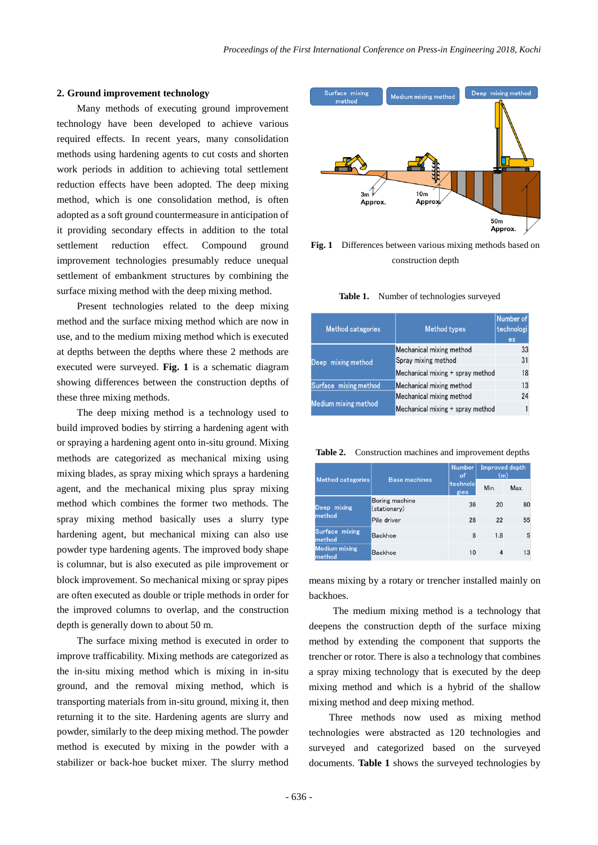### **2. Ground improvement technology**

Many methods of executing ground improvement technology have been developed to achieve various required effects. In recent years, many consolidation methods using hardening agents to cut costs and shorten work periods in addition to achieving total settlement reduction effects have been adopted. The deep mixing method, which is one consolidation method, is often adopted as a soft ground countermeasure in anticipation of it providing secondary effects in addition to the total settlement reduction effect. Compound ground improvement technologies presumably reduce unequal settlement of embankment structures by combining the surface mixing method with the deep mixing method.

Present technologies related to the deep mixing method and the surface mixing method which are now in use, and to the medium mixing method which is executed at depths between the depths where these 2 methods are executed were surveyed. **Fig. 1** is a schematic diagram showing differences between the construction depths of these three mixing methods.

The deep mixing method is a technology used to build improved bodies by stirring a hardening agent with or spraying a hardening agent onto in-situ ground. Mixing methods are categorized as mechanical mixing using mixing blades, as spray mixing which sprays a hardening agent, and the mechanical mixing plus spray mixing method which combines the former two methods. The spray mixing method basically uses a slurry type hardening agent, but mechanical mixing can also use powder type hardening agents. The improved body shape is columnar, but is also executed as pile improvement or block improvement. So mechanical mixing or spray pipes are often executed as double or triple methods in order for the improved columns to overlap, and the construction depth is generally down to about 50 m.

The surface mixing method is executed in order to improve trafficability. Mixing methods are categorized as the in-situ mixing method which is mixing in in-situ ground, and the removal mixing method, which is transporting materials from in-situ ground, mixing it, then returning it to the site. Hardening agents are slurry and powder, similarly to the deep mixing method. The powder method is executed by mixing in the powder with a stabilizer or back-hoe bucket mixer. The slurry method



**Fig. 1** Differences between various mixing methods based on construction depth

| Table 1. |  |  | Number of technologies surveyed |
|----------|--|--|---------------------------------|
|          |  |  |                                 |

| <b>Method categories</b> | <b>Method types</b>              | Number of<br>technologi<br>es |
|--------------------------|----------------------------------|-------------------------------|
|                          | Mechanical mixing method         | 33                            |
| Deep mixing method       | Spray mixing method              | 31                            |
|                          | Mechanical mixing + spray method | 18                            |
| Surface mixing method    | Mechanical mixing method         | 13                            |
|                          | Mechanical mixing method         | 24                            |
| Medium mixing method     | Mechanical mixing + spray method |                               |

**Table 2.** Construction machines and improvement depths

|                                |                                | <b>Number</b><br>of | <b>Improved depth</b><br>(m) |      |
|--------------------------------|--------------------------------|---------------------|------------------------------|------|
| Method categories              | <b>Base machines</b>           | technolo<br>gies    | Min.                         | Max. |
| Deep mixing                    | Boring machine<br>(stationary) | 36                  | 20                           | 80   |
| method                         | Pile driver                    | 28                  | 22                           | 55   |
| Surface mixing<br>method       | <b>Backhoe</b>                 | 8                   | 1.8                          | 5    |
| <b>Medium mixing</b><br>method | <b>Backhoe</b>                 | 10                  | 4                            | 13   |

means mixing by a rotary or trencher installed mainly on backhoes.

The medium mixing method is a technology that deepens the construction depth of the surface mixing method by extending the component that supports the trencher or rotor. There is also a technology that combines a spray mixing technology that is executed by the deep mixing method and which is a hybrid of the shallow mixing method and deep mixing method.

Three methods now used as mixing method technologies were abstracted as 120 technologies and surveyed and categorized based on the surveyed documents. **Table 1** shows the surveyed technologies by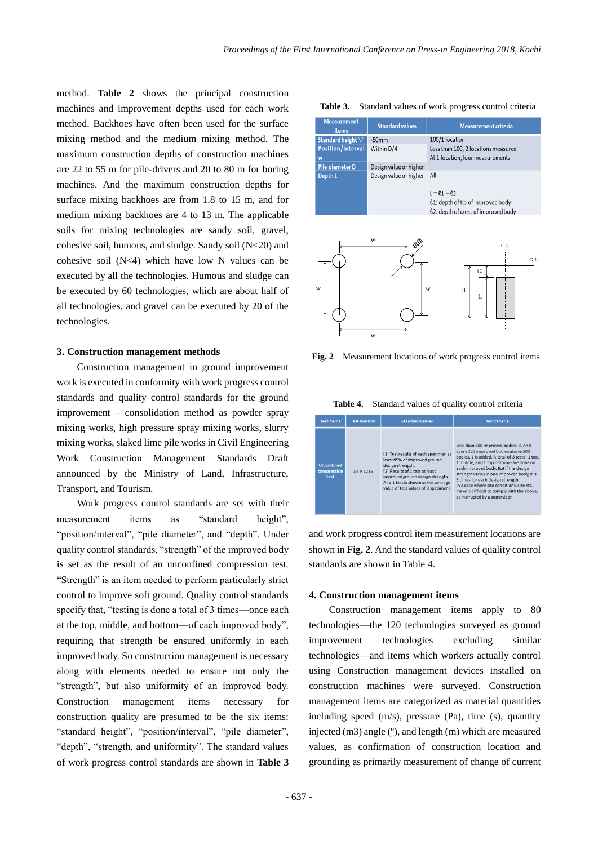method. **Table 2** shows the principal construction machines and improvement depths used for each work method. Backhoes have often been used for the surface mixing method and the medium mixing method. The maximum construction depths of construction machines are 22 to 55 m for pile-drivers and 20 to 80 m for boring machines. And the maximum construction depths for surface mixing backhoes are from 1.8 to 15 m, and for medium mixing backhoes are 4 to 13 m. The applicable soils for mixing technologies are sandy soil, gravel, cohesive soil, humous, and sludge. Sandy soil (N<20) and cohesive soil  $(N<4)$  which have low N values can be executed by all the technologies. Humous and sludge can be executed by 60 technologies, which are about half of all technologies, and gravel can be executed by 20 of the technologies.

#### **3. Construction management methods**

Construction management in ground improvement work is executed in conformity with work progress control standards and quality control standards for the ground improvement – consolidation method as powder spray mixing works, high pressure spray mixing works, slurry mixing works, slaked lime pile works in Civil Engineering Work Construction Management Standards Draft announced by the Ministry of Land, Infrastructure, Transport, and Tourism.

Work progress control standards are set with their measurement items as "standard height", "position/interval", "pile diameter", and "depth". Under quality control standards, "strength" of the improved body is set as the result of an unconfined compression test. "Strength" is an item needed to perform particularly strict control to improve soft ground. Quality control standards specify that, "testing is done a total of 3 times—once each at the top, middle, and bottom—of each improved body", requiring that strength be ensured uniformly in each improved body. So construction management is necessary along with elements needed to ensure not only the "strength", but also uniformity of an improved body. Construction management items necessary for construction quality are presumed to be the six items: "standard height", "position/interval", "pile diameter", "depth", "strength, and uniformity". The standard values of work progress control standards are shown in **Table 3**

| Table 3. Standard values of work progress control criteria |  |  |  |  |  |  |  |
|------------------------------------------------------------|--|--|--|--|--|--|--|
|------------------------------------------------------------|--|--|--|--|--|--|--|

| <b>Measurement</b><br>items | <b>Standard values</b> | <b>Measurement criteria</b>                                                                       |
|-----------------------------|------------------------|---------------------------------------------------------------------------------------------------|
| Standard height $\nabla$    | $-50$ mm               | 100/1 location                                                                                    |
| Position/interval           | Within D/4             | Less than 100, 2 locations measured                                                               |
| W                           |                        | At 1 location, four measurements                                                                  |
| Pile diameter D             | Design value or higher |                                                                                                   |
| Depth L                     | Design value or higher | All                                                                                               |
|                             |                        | $L = \ell_1 - \ell_2$<br>£1: depth of tip of improved body<br>£2: depth of crest of improved body |



**Fig. 2** Measurement locations of work progress control items

**Table 4.** Standard values of quality control criteria

| <b>Test items</b>                        | <b>Test method</b> | <b>Standard values</b>                                                                                                                                                                                                                       | <b>Test criteria</b>                                                                                                                                                                                                                                                                                                                                                                                                                 |
|------------------------------------------|--------------------|----------------------------------------------------------------------------------------------------------------------------------------------------------------------------------------------------------------------------------------------|--------------------------------------------------------------------------------------------------------------------------------------------------------------------------------------------------------------------------------------------------------------------------------------------------------------------------------------------------------------------------------------------------------------------------------------|
| <b>Unconfined</b><br>compression<br>test | <b>JIS A 1216</b>  | [1] Test results of each specimen at<br>least 85% of improved ground<br>design strength.<br>[2] Results of 1 test at least<br>improved ground design strength.<br>And 1 test is shown as the average<br>value of test values of 3 specimens. | Less than 500 improved bodies, 3. And<br>every 250 improved bodies above 500<br>bodies. 1 is added. A total of 3 tests--1 top.<br>1 middle, and 1 top bottom-are done on<br>each improved body. But if the design<br>strength varies in one improved body, it is<br>3 times for each design strength.<br>In a case where site conditions, size etc.<br>make it difficult to comply with the above,<br>as instructed by a supervisor. |

and work progress control item measurement locations are shown in **Fig. 2**. And the standard values of quality control standards are shown in Table 4.

#### **4. Construction management items**

Construction management items apply to 80 technologies—the 120 technologies surveyed as ground improvement technologies excluding similar technologies—and items which workers actually control using Construction management devices installed on construction machines were surveyed. Construction management items are categorized as material quantities including speed (m/s), pressure (Pa), time (s), quantity injected (m3) angle (º), and length (m) which are measured values, as confirmation of construction location and grounding as primarily measurement of change of current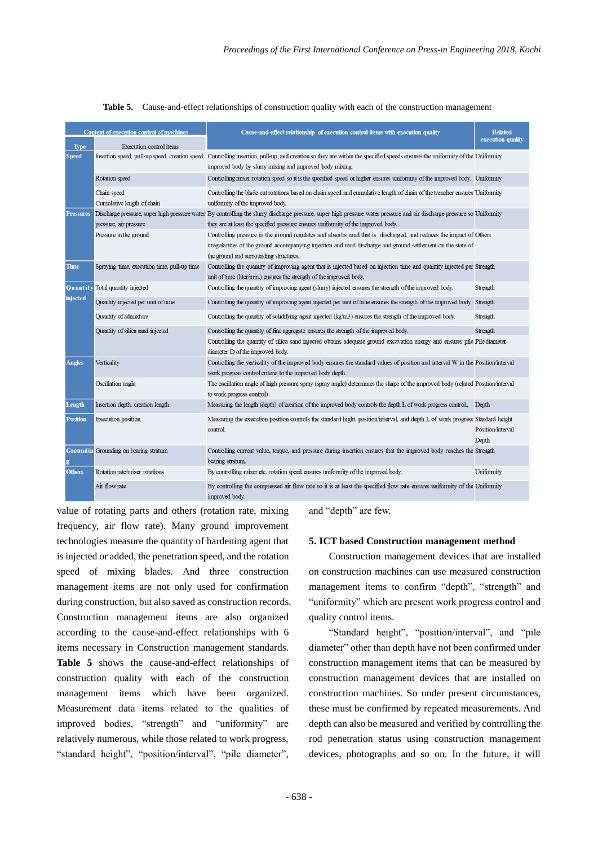| <b>Content of execution control of machines</b> |                                             | Cause-and-effect relationship of execution control items with execution quality                                                                                                                                                                                            | <b>Related</b>             |
|-------------------------------------------------|---------------------------------------------|----------------------------------------------------------------------------------------------------------------------------------------------------------------------------------------------------------------------------------------------------------------------------|----------------------------|
| <b>Type</b>                                     | Execution control items                     |                                                                                                                                                                                                                                                                            | execution quality          |
| <b>Speed</b>                                    |                                             | Insertion speed, pull-up speed, creation speed Controlling insertion, pull-up, and creation so they are within the specified speeds ensures the uniformity of the Uniformity<br>improved body by slurry mixing and improved body mixing.                                   |                            |
|                                                 | Rotation speed                              | Controlling mixer rotation speed so it is the specified speed or higher ensures uniformity of the improved body. Uniformity                                                                                                                                                |                            |
|                                                 | Chain speed<br>Cumulative length of chain   | Controlling the blade cut rotations based on chain speed and cumulative length of chain of the trencher ensures Uniformity<br>uniformity of the improved body.                                                                                                             |                            |
| <b>Pressures</b>                                |                                             | Discharge pressure, super high pressure water By controlling the slurry discharge pressure, super high pressure water pressure and air discharge pressure so Uniformity                                                                                                    |                            |
|                                                 | pressure, air pressure                      | they are at least the specified pressure ensures uniformity of the improved body.                                                                                                                                                                                          |                            |
|                                                 | Pressure in the ground                      | Controlling pressure in the ground regulates and absorbs mud that is discharged, and reduces the impact of Others<br>irregularities of the ground accompanying injection and mud discharge and ground settlement on the state of<br>the ground and surrounding structures. |                            |
| Time                                            | Spraying time, execution time, pull-up time | Controlling the quantity of improving agent that is injected based on injection time and quantity injected per Strength<br>unit of time (liter/min.) ensures the strength of the improved body.                                                                            |                            |
|                                                 | Quantity Total quantity injected            | Controlling the quantity of improving agent (slurry) injected ensures the strength of the improved body.                                                                                                                                                                   | Strength                   |
| <b>injected</b>                                 | Quantity injected per unit of time          | Controlling the quantity of improving agent injected per unit of time ensures the strength of the improved body. Strength                                                                                                                                                  |                            |
|                                                 | Quantity of admixture                       | Controlling the quantity of solidifying agent injected (kg/m3) ensures the strength of the improved body.                                                                                                                                                                  | Strength                   |
|                                                 | Quantity of silica sand injected            | Controlling the quantity of fine aggregate ensures the strength of the improved body.                                                                                                                                                                                      | Strength                   |
|                                                 |                                             | Controlling the quantity of silica sand injected obtains adequate ground excavation energy and ensures pile Pile diameter<br>diameter D of the improved body.                                                                                                              |                            |
| <b>Angles</b>                                   | Verticality                                 | Controlling the verticality of the improved body ensures the standard values of position and interval W in the Position/interval<br>work progress control criteria to the improved body depth.                                                                             |                            |
|                                                 | Oscillation angle                           | The oscillation angle of high pressure spray (spray angle) determines the shape of the improved body (related Position/interval<br>to work progress control)                                                                                                               |                            |
| Length                                          | Insertion depth, creation length            | Measuring the length (depth) of creation of the improved body controls the depth L of work progress control.,                                                                                                                                                              | Depth                      |
| <b>Position</b>                                 | Execution position                          | Measuring the execution position controls the standard hight, position/interval, and depth L of work progress Standard height<br>control.                                                                                                                                  | Position/interval<br>Depth |
|                                                 | Groundin Grounding on bearing stratum       | Controlling current value, torque, and pressure during insertion ensures that the improved body reaches the Strength<br>bearing stratum.                                                                                                                                   |                            |
| <b>Others</b>                                   | Rotation rate/mixer rotations               | By controlling mixer etc. rotation speed ensures uniformity of the improved body.                                                                                                                                                                                          | Uniformity                 |
|                                                 | Air flow rate                               | By controlling the compressed air flow rate so it is at least the specified flow rate ensures uniformity of the Uniformity<br>improved body.                                                                                                                               |                            |

**Table 5.** Cause-and-effect relationships of construction quality with each of the construction management

value of rotating parts and others (rotation rate, mixing frequency, air flow rate). Many ground improvement technologies measure the quantity of hardening agent that is injected or added, the penetration speed, and the rotation speed of mixing blades. And three construction management items are not only used for confirmation during construction, but also saved as construction records. Construction management items are also organized according to the cause-and-effect relationships with 6 items necessary in Construction management standards. **Table 5** shows the cause-and-effect relationships of construction quality with each of the construction management items which have been organized. Measurement data items related to the qualities of improved bodies, "strength" and "uniformity" are relatively numerous, while those related to work progress, "standard height", "position/interval", "pile diameter",

and "depth" are few.

#### **5. ICT based Construction management method**

Construction management devices that are installed on construction machines can use measured construction management items to confirm "depth", "strength" and "uniformity" which are present work progress control and quality control items.

"Standard height", "position/interval", and "pile diameter" other than depth have not been confirmed under construction management items that can be measured by construction management devices that are installed on construction machines. So under present circumstances, these must be confirmed by repeated measurements. And depth can also be measured and verified by controlling the rod penetration status using construction management devices, photographs and so on. In the future, it will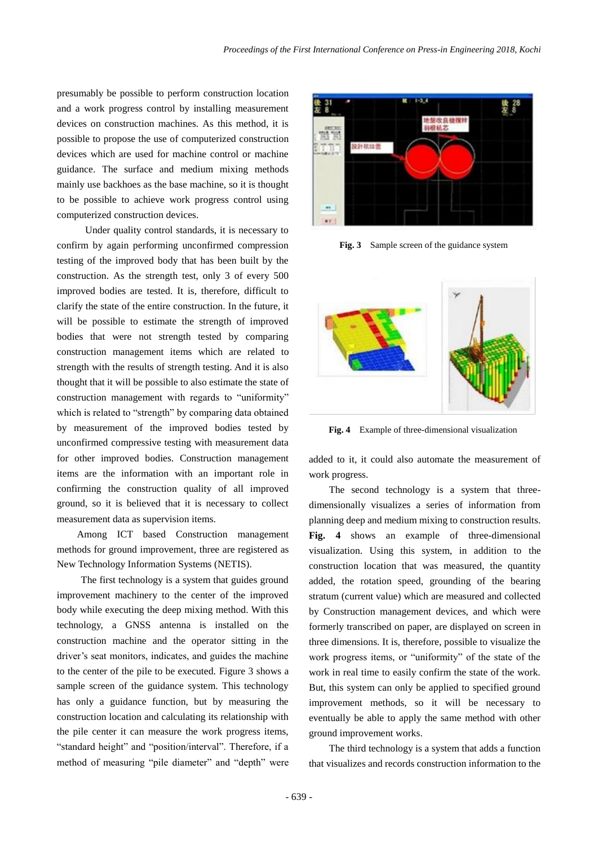presumably be possible to perform construction location and a work progress control by installing measurement devices on construction machines. As this method, it is possible to propose the use of computerized construction devices which are used for machine control or machine guidance. The surface and medium mixing methods mainly use backhoes as the base machine, so it is thought to be possible to achieve work progress control using computerized construction devices.

 Under quality control standards, it is necessary to confirm by again performing unconfirmed compression testing of the improved body that has been built by the construction. As the strength test, only 3 of every 500 improved bodies are tested. It is, therefore, difficult to clarify the state of the entire construction. In the future, it will be possible to estimate the strength of improved bodies that were not strength tested by comparing construction management items which are related to strength with the results of strength testing. And it is also thought that it will be possible to also estimate the state of construction management with regards to "uniformity" which is related to "strength" by comparing data obtained by measurement of the improved bodies tested by unconfirmed compressive testing with measurement data for other improved bodies. Construction management items are the information with an important role in confirming the construction quality of all improved ground, so it is believed that it is necessary to collect measurement data as supervision items.

Among ICT based Construction management methods for ground improvement, three are registered as New Technology Information Systems (NETIS).

The first technology is a system that guides ground improvement machinery to the center of the improved body while executing the deep mixing method. With this technology, a GNSS antenna is installed on the construction machine and the operator sitting in the driver's seat monitors, indicates, and guides the machine to the center of the pile to be executed. Figure 3 shows a sample screen of the guidance system. This technology has only a guidance function, but by measuring the construction location and calculating its relationship with the pile center it can measure the work progress items, "standard height" and "position/interval". Therefore, if a method of measuring "pile diameter" and "depth" were



**Fig. 3** Sample screen of the guidance system



**Fig. 4** Example of three-dimensional visualization

added to it, it could also automate the measurement of work progress.

The second technology is a system that threedimensionally visualizes a series of information from planning deep and medium mixing to construction results. **Fig. 4** shows an example of three-dimensional visualization. Using this system, in addition to the construction location that was measured, the quantity added, the rotation speed, grounding of the bearing stratum (current value) which are measured and collected by Construction management devices, and which were formerly transcribed on paper, are displayed on screen in three dimensions. It is, therefore, possible to visualize the work progress items, or "uniformity" of the state of the work in real time to easily confirm the state of the work. But, this system can only be applied to specified ground improvement methods, so it will be necessary to eventually be able to apply the same method with other ground improvement works.

The third technology is a system that adds a function that visualizes and records construction information to the